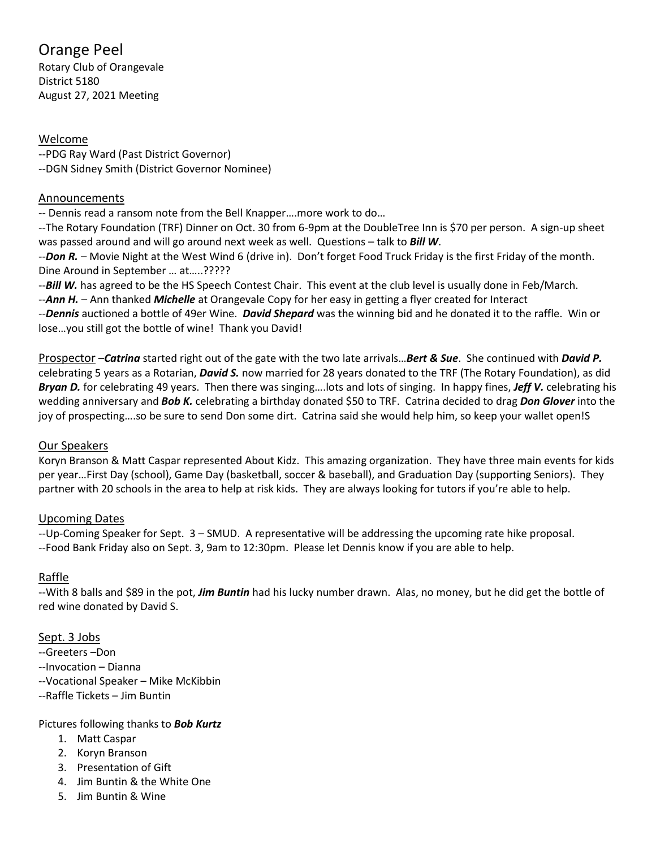# Orange Peel

Rotary Club of Orangevale District 5180 August 27, 2021 Meeting

#### Welcome

--PDG Ray Ward (Past District Governor)

--DGN Sidney Smith (District Governor Nominee)

### **Announcements**

-- Dennis read a ransom note from the Bell Knapper….more work to do…

--The Rotary Foundation (TRF) Dinner on Oct. 30 from 6-9pm at the DoubleTree Inn is \$70 per person. A sign-up sheet was passed around and will go around next week as well. Questions – talk to *Bill W*.

--*Don R.* – Movie Night at the West Wind 6 (drive in). Don't forget Food Truck Friday is the first Friday of the month. Dine Around in September … at…..?????

--*Bill W.* has agreed to be the HS Speech Contest Chair. This event at the club level is usually done in Feb/March.

--*Ann H.* – Ann thanked *Michelle* at Orangevale Copy for her easy in getting a flyer created for Interact

--*Dennis* auctioned a bottle of 49er Wine. *David Shepard* was the winning bid and he donated it to the raffle. Win or lose…you still got the bottle of wine! Thank you David!

Prospector –*Catrina* started right out of the gate with the two late arrivals…*Bert & Sue*. She continued with *David P.* celebrating 5 years as a Rotarian, *David S.* now married for 28 years donated to the TRF (The Rotary Foundation), as did *Bryan D.* for celebrating 49 years. Then there was singing….lots and lots of singing. In happy fines, *Jeff V.* celebrating his wedding anniversary and *Bob K.* celebrating a birthday donated \$50 to TRF. Catrina decided to drag *Don Glover* into the joy of prospecting….so be sure to send Don some dirt. Catrina said she would help him, so keep your wallet open!S

#### Our Speakers

Koryn Branson & Matt Caspar represented About Kidz. This amazing organization. They have three main events for kids per year…First Day (school), Game Day (basketball, soccer & baseball), and Graduation Day (supporting Seniors). They partner with 20 schools in the area to help at risk kids. They are always looking for tutors if you're able to help.

#### Upcoming Dates

--Up-Coming Speaker for Sept. 3 – SMUD. A representative will be addressing the upcoming rate hike proposal. --Food Bank Friday also on Sept. 3, 9am to 12:30pm. Please let Dennis know if you are able to help.

## Raffle

--With 8 balls and \$89 in the pot, *Jim Buntin* had his lucky number drawn. Alas, no money, but he did get the bottle of red wine donated by David S.

## Sept. 3 Jobs

--Greeters –Don --Invocation – Dianna --Vocational Speaker – Mike McKibbin --Raffle Tickets – Jim Buntin

#### Pictures following thanks to *Bob Kurtz*

- 1. Matt Caspar
- 2. Koryn Branson
- 3. Presentation of Gift
- 4. Jim Buntin & the White One
- 5. Jim Buntin & Wine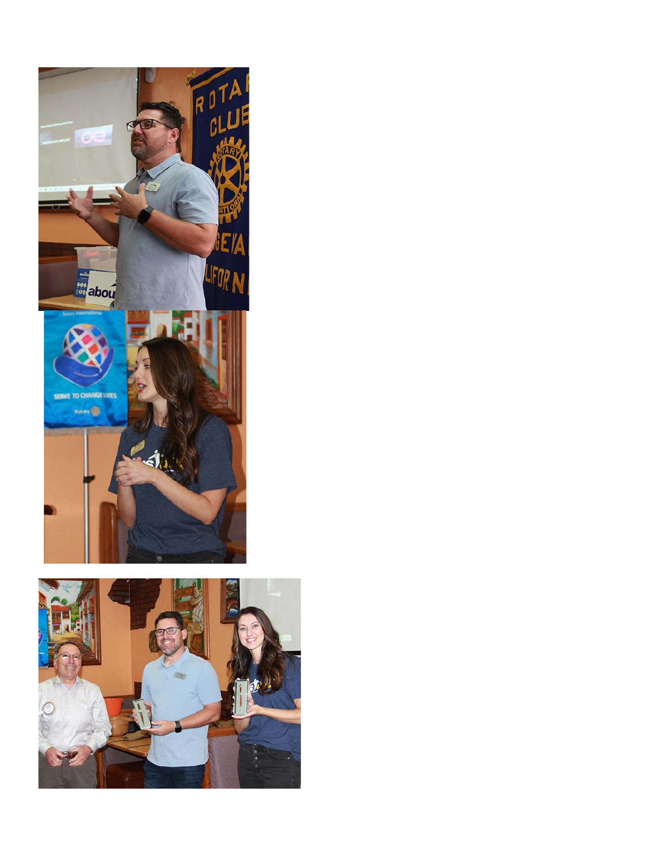